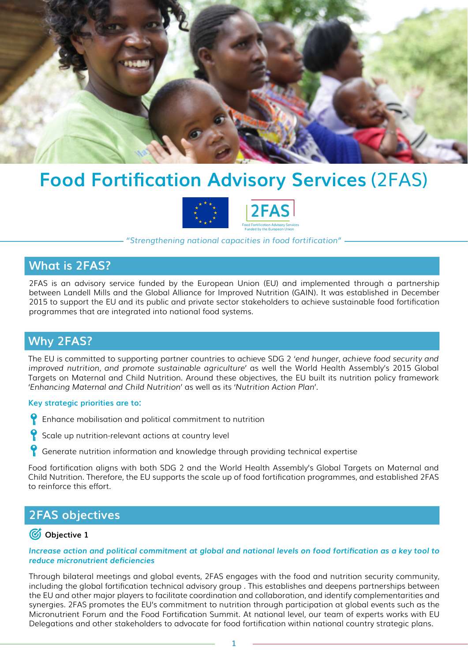

# **Food Fortification Advisory Services** (2FAS)



*"Strengthening national capacities in food fortification"*

## **What is 2FAS?**

2FAS is an advisory service funded by the European Union (EU) and implemented through a partnership between Landell Mills and the Global Alliance for Improved Nutrition (GAIN). It was established in December 2015 to support the EU and its public and private sector stakeholders to achieve sustainable food fortification programmes that are integrated into national food systems.

# **Why 2FAS?**

The EU is committed to supporting partner countries to achieve SDG 2 *'end hunger, achieve food security and improved nutrition, and promote sustainable agriculture'* as well the World Health Assembly's 2015 Global Targets on Maternal and Child Nutrition. Around these objectives, the EU built its nutrition policy framework *'Enhancing Maternal and Child Nutrition'* as well as its *'Nutrition Action Plan'.*

#### **Key strategic priorities are to:**

- **P** Enhance mobilisation and political commitment to nutrition
- Scale up nutrition-relevant actions at country level
- Generate nutrition information and knowledge through providing technical expertise

Food fortification aligns with both SDG 2 and the World Health Assembly's Global Targets on Maternal and Child Nutrition. Therefore, the EU supports the scale up of food fortification programmes, and established 2FAS to reinforce this effort.

# **2FAS objectives**

### *<u></u> Objective 1*

*Increase action and political commitment at global and national levels on food fortification as a key tool to reduce micronutrient deficiencies* 

Through bilateral meetings and global events, 2FAS engages with the food and nutrition security community, including the global fortification technical advisory group . This establishes and deepens partnerships between the EU and other major players to facilitate coordination and collaboration, and identify complementarities and synergies. 2FAS promotes the EU's commitment to nutrition through participation at global events such as the Micronutrient Forum and the Food Fortification Summit. At national level, our team of experts works with EU Delegations and other stakeholders to advocate for food fortification within national country strategic plans.